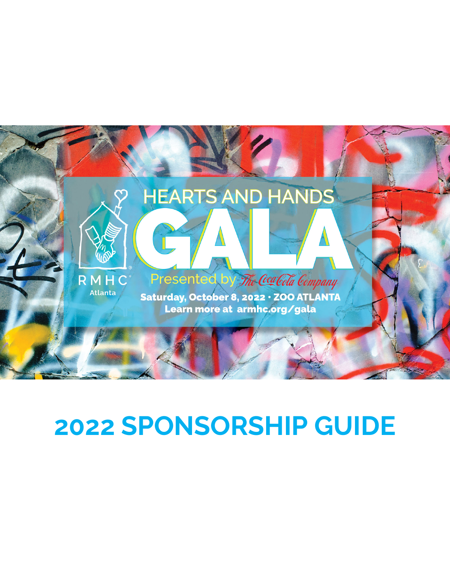

# **2022 SPONSORSHIP GUIDE**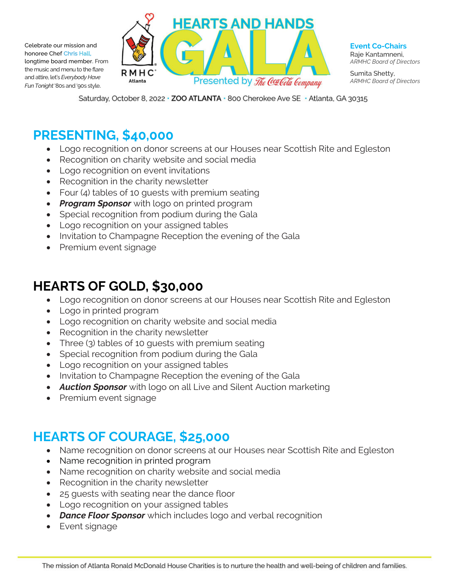Celebrate our mission and honoree Chef Chris Hall, longtime board member. From the music and menu to the flare and attire, let's *Everybody Have Fun Tonight*'80s and '90s style.



**Event Co-Chairs** Raje Kantamneni, *ARMHC Board of Directors*

Sumita Shetty, *ARMHC Board of Directors*

Saturday, October 8, 2022 · ZOO ATLANTA · 800 Cherokee Ave SE · Atlanta, GA 30315

#### **PRESENTING, \$40,000**

- Logo recognition on donor screens at our Houses near Scottish Rite and Egleston
- Recognition on charity website and social media
- Logo recognition on event invitations
- Recognition in the charity newsletter
- Four (4) tables of 10 guests with premium seating
- *Program Sponsor* with logo on printed program
- Special recognition from podium during the Gala
- Logo recognition on your assigned tables
- Invitation to Champagne Reception the evening of the Gala
- Premium event signage

#### **HEARTS OF GOLD, \$30,000**

- Logo recognition on donor screens at our Houses near Scottish Rite and Egleston
- Logo in printed program
- Logo recognition on charity website and social media
- Recognition in the charity newsletter
- Three (3) tables of 10 guests with premium seating
- Special recognition from podium during the Gala
- Logo recognition on your assigned tables
- Invitation to Champagne Reception the evening of the Gala
- *Auction Sponsor* with logo on all Live and Silent Auction marketing
- Premium event signage

#### **HEARTS OF COURAGE, \$25,000**

- Name recognition on donor screens at our Houses near Scottish Rite and Egleston
- Name recognition in printed program
- Name recognition on charity website and social media
- Recognition in the charity newsletter
- 25 guests with seating near the dance floor
- Logo recognition on your assigned tables
- *Dance Floor Sponsor* which includes logo and verbal recognition
- Event signage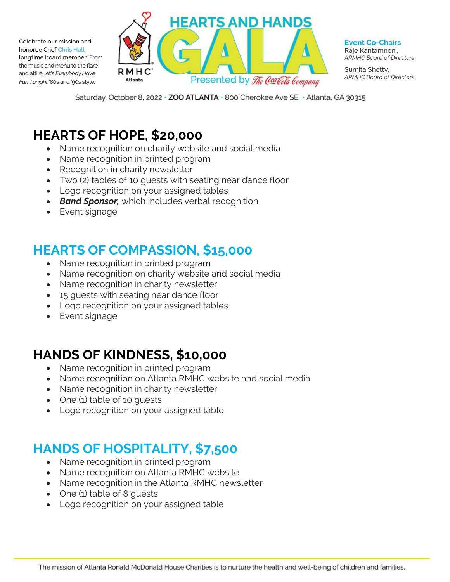Celebrate our mission and honoree Chef Chris Hall, longtime board member. From the music and menu to the flare and attire, let's *Everybody Have Fun Tonight*'80s and '90s style.



**Event Co-Chairs** Raje Kantamneni, *ARMHC Board of Directors*

Sumita Shetty, *ARMHC Board of Directors*

Saturday, October 8, 2022 · ZOO ATLANTA · 800 Cherokee Ave SE · Atlanta, GA 30315

#### **HEARTS OF HOPE, \$20,000**

- Name recognition on charity website and social media
- Name recognition in printed program
- Recognition in charity newsletter
- Two (2) tables of 10 guests with seating near dance floor
- Logo recognition on your assigned tables
- *Band Sponsor,* which includes verbal recognition
- Event signage

## **HEARTS OF COMPASSION, \$15,000**

- Name recognition in printed program
- Name recognition on charity website and social media
- Name recognition in charity newsletter
- 15 quests with seating near dance floor
- Logo recognition on your assigned tables
- Event signage

### **HANDS OF KINDNESS, \$10,000**

- Name recognition in printed program
- Name recognition on Atlanta RMHC website and social media
- Name recognition in charity newsletter
- One (1) table of 10 quests
- Logo recognition on your assigned table

### **HANDS OF HOSPITALITY, \$7,500**

- Name recognition in printed program
- Name recognition on Atlanta RMHC website
- Name recognition in the Atlanta RMHC newsletter
- One (1) table of 8 quests
- Logo recognition on your assigned table